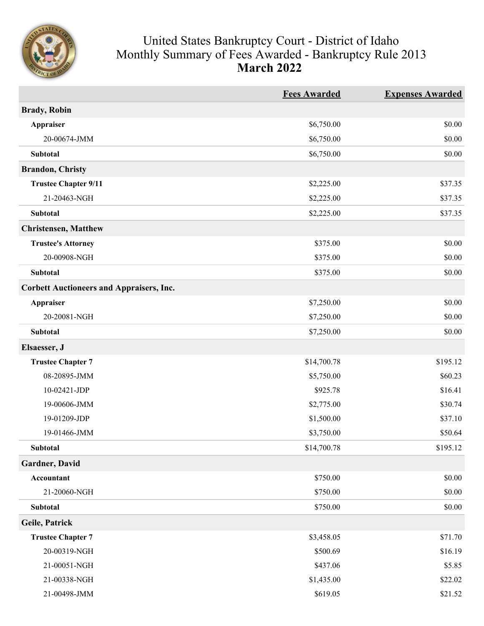

## United States Bankruptcy Court - District of Idaho Monthly Summary of Fees Awarded - Bankruptcy Rule 2013 **March 2022**

|                                                 | <b>Fees Awarded</b> | <b>Expenses Awarded</b> |
|-------------------------------------------------|---------------------|-------------------------|
| <b>Brady</b> , Robin                            |                     |                         |
| <b>Appraiser</b>                                | \$6,750.00          | \$0.00                  |
| 20-00674-JMM                                    | \$6,750.00          | \$0.00                  |
| Subtotal                                        | \$6,750.00          | \$0.00                  |
| <b>Brandon, Christy</b>                         |                     |                         |
| <b>Trustee Chapter 9/11</b>                     | \$2,225.00          | \$37.35                 |
| 21-20463-NGH                                    | \$2,225.00          | \$37.35                 |
| Subtotal                                        | \$2,225.00          | \$37.35                 |
| <b>Christensen, Matthew</b>                     |                     |                         |
| <b>Trustee's Attorney</b>                       | \$375.00            | \$0.00                  |
| 20-00908-NGH                                    | \$375.00            | \$0.00                  |
| Subtotal                                        | \$375.00            | \$0.00                  |
| <b>Corbett Auctioneers and Appraisers, Inc.</b> |                     |                         |
| <b>Appraiser</b>                                | \$7,250.00          | \$0.00                  |
| 20-20081-NGH                                    | \$7,250.00          | \$0.00                  |
| Subtotal                                        | \$7,250.00          | \$0.00                  |
| Elsaesser, J                                    |                     |                         |
| <b>Trustee Chapter 7</b>                        | \$14,700.78         | \$195.12                |
| 08-20895-JMM                                    | \$5,750.00          | \$60.23                 |
| 10-02421-JDP                                    | \$925.78            | \$16.41                 |
| 19-00606-JMM                                    | \$2,775.00          | \$30.74                 |
| 19-01209-JDP                                    | \$1,500.00          | \$37.10                 |
| 19-01466-JMM                                    | \$3,750.00          | \$50.64                 |
| <b>Subtotal</b>                                 | \$14,700.78         | \$195.12                |
| Gardner, David                                  |                     |                         |
| Accountant                                      | \$750.00            | \$0.00                  |
| 21-20060-NGH                                    | \$750.00            | \$0.00                  |
| Subtotal                                        | \$750.00            | \$0.00                  |
| Geile, Patrick                                  |                     |                         |
| <b>Trustee Chapter 7</b>                        | \$3,458.05          | \$71.70                 |
| 20-00319-NGH                                    | \$500.69            | \$16.19                 |
| 21-00051-NGH                                    | \$437.06            | \$5.85                  |
| 21-00338-NGH                                    | \$1,435.00          | \$22.02                 |
| 21-00498-JMM                                    | \$619.05            | \$21.52                 |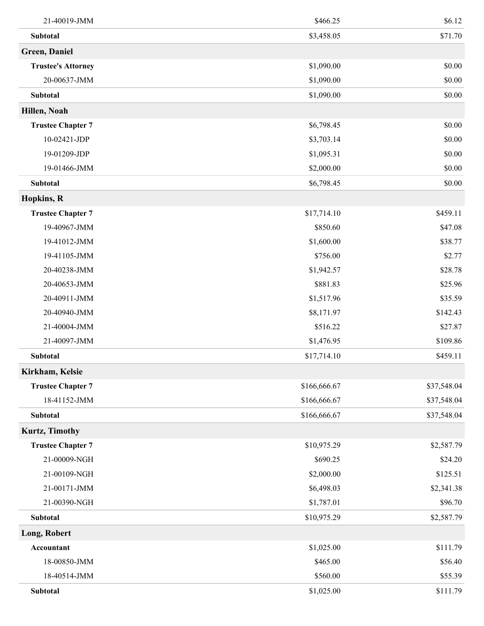| 21-40019-JMM              | \$466.25     | \$6.12      |
|---------------------------|--------------|-------------|
| <b>Subtotal</b>           | \$3,458.05   | \$71.70     |
| Green, Daniel             |              |             |
| <b>Trustee's Attorney</b> | \$1,090.00   | \$0.00      |
| 20-00637-JMM              | \$1,090.00   | \$0.00      |
| Subtotal                  | \$1,090.00   | \$0.00      |
| Hillen, Noah              |              |             |
| <b>Trustee Chapter 7</b>  | \$6,798.45   | \$0.00      |
| 10-02421-JDP              | \$3,703.14   | \$0.00      |
| 19-01209-JDP              | \$1,095.31   | \$0.00      |
| 19-01466-JMM              | \$2,000.00   | \$0.00      |
| Subtotal                  | \$6,798.45   | \$0.00      |
| <b>Hopkins</b> , R        |              |             |
| <b>Trustee Chapter 7</b>  | \$17,714.10  | \$459.11    |
| 19-40967-JMM              | \$850.60     | \$47.08     |
| 19-41012-JMM              | \$1,600.00   | \$38.77     |
| 19-41105-JMM              | \$756.00     | \$2.77      |
| 20-40238-JMM              | \$1,942.57   | \$28.78     |
| 20-40653-JMM              | \$881.83     | \$25.96     |
| 20-40911-JMM              | \$1,517.96   | \$35.59     |
| 20-40940-JMM              | \$8,171.97   | \$142.43    |
| 21-40004-JMM              | \$516.22     | \$27.87     |
| 21-40097-JMM              | \$1,476.95   | \$109.86    |
| Subtotal                  | \$17,714.10  | \$459.11    |
| Kirkham, Kelsie           |              |             |
| <b>Trustee Chapter 7</b>  | \$166,666.67 | \$37,548.04 |
| 18-41152-JMM              | \$166,666.67 | \$37,548.04 |
| Subtotal                  | \$166,666.67 | \$37,548.04 |
| Kurtz, Timothy            |              |             |
| <b>Trustee Chapter 7</b>  | \$10,975.29  | \$2,587.79  |
| 21-00009-NGH              | \$690.25     | \$24.20     |
| 21-00109-NGH              | \$2,000.00   | \$125.51    |
| 21-00171-JMM              | \$6,498.03   | \$2,341.38  |
| 21-00390-NGH              | \$1,787.01   | \$96.70     |
| Subtotal                  | \$10,975.29  | \$2,587.79  |
| Long, Robert              |              |             |
| Accountant                | \$1,025.00   | \$111.79    |
| 18-00850-JMM              | \$465.00     | \$56.40     |
| 18-40514-JMM              | \$560.00     | \$55.39     |
| Subtotal                  | \$1,025.00   | \$111.79    |